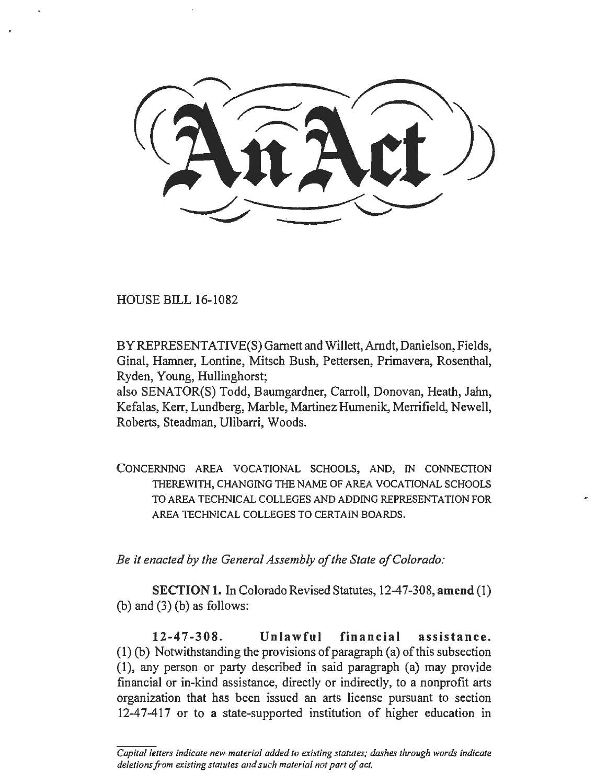HOUSE BILL 16-1082

BY REPRESENTATIVE(S) Garnett and Willett, Arndt, Danielson, Fields, Ginal, Hamner, Lontine, Mitsch Bush, Pettersen, Primavera, Rosenthal, Ryden, Young, Hullinghorst;

also SENATOR(S) Todd, Baumgardner, Carroll, Donovan, Heath, Jahn, Kefalas, Kerr, Lundberg, Marble, Martinez Humenik, Merrifield, Newell, Roberts, Steadman, Ulibarri, Woods.

CONCERNING AREA VOCATIONAL SCHOOLS, AND, IN CONNECTION THEREWITH, CHANGING THE NAME OF AREA VOCATIONAL SCHOOLS TO AREA TECHNICAL COLLEGES AND ADDING REPRESENTATION FOR AREA TECHNICAL COLLEGES TO CERTAIN BOARDS.

*Be it enacted by the General Assembly of the State of Colorado:* 

SECTION 1. In Colorado Revised Statutes, 12-47-308, amend (1) (b) and  $(3)$  (b) as follows:

12-47-308. Unlawful financial assistance. (1) (b) Notwithstanding the provisions of paragraph (a) of this subsection (1), any person or party described in said paragraph (a) may provide financial or in-kind assistance, directly or indirectly, to a nonprofit arts organization that has been issued an arts license pursuant to section 12-47-417 or to a state-supported institution of higher education in

*Capital letters indicate new material added to existing statutes; dashes through words indicate deletions from existing statutes and such material not part of act.*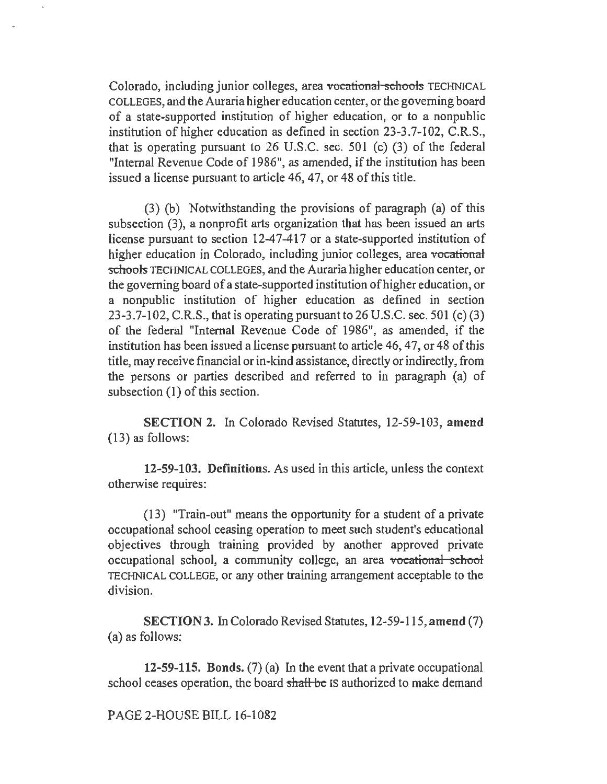Colorado, including junior colleges, area vocational schools TECHNICAL COLLEGES, and the Auraria higher education center, or the governing board of a state-supported institution of higher education, or to a nonpublic institution of higher education as defined in section 23-3.7-102, C.R.S., that is operating pursuant to 26 U.S.C. sec. 501 (c) (3) of the federal "Internal Revenue Code of 1986", as amended, if the institution has been issued a license pursuant to article 46, 47, or 48 of this title.

(3) (b) Notwithstanding the provisions of paragraph (a) of this subsection (3), a nonprofit arts organization that has been issued an arts license pursuant to section 12-47-417 or a state-supported institution of higher education in Colorado, including junior colleges, area vocational schools TECHNICAL COLLEGES, and the Auraria higher education center, or the governing board of a state-supported institution of higher education, or a nonpublic institution of higher education as defined in section 23-3.7-102, C.R.S., that is operating pursuant to 26 U.S.C. sec. 501 (c) (3) of the federal "Internal Revenue Code of 1986", as amended, if the institution has been issued a license pursuant to article 46, 47, or 48 of this title, may receive financial or in-kind assistance, directly or indirectly, from the persons or parties described and referred to in paragraph (a) of subsection (I) of this section.

SECTION 2. In Colorado Revised Statutes, 12-59-103, amend (13) as follows:

12-59-103. Definitions. As used in this article, unless the context otherwise requires:

(13) "Train-out" means the opportunity for a student of a private occupational school ceasing operation to meet such student's educational objectives through training provided by another approved private occupational school, a community college, an area vocational school TECHNICAL COLLEGE, or any other training arrangement acceptable to the division.

SECTION 3. In Colorado Revised Statutes, 12-59-115, amend (7) (a) as follows:

12-59-115. Bonds. (7) (a) In the event that a private occupational school ceases operation, the board shall be IS authorized to make demand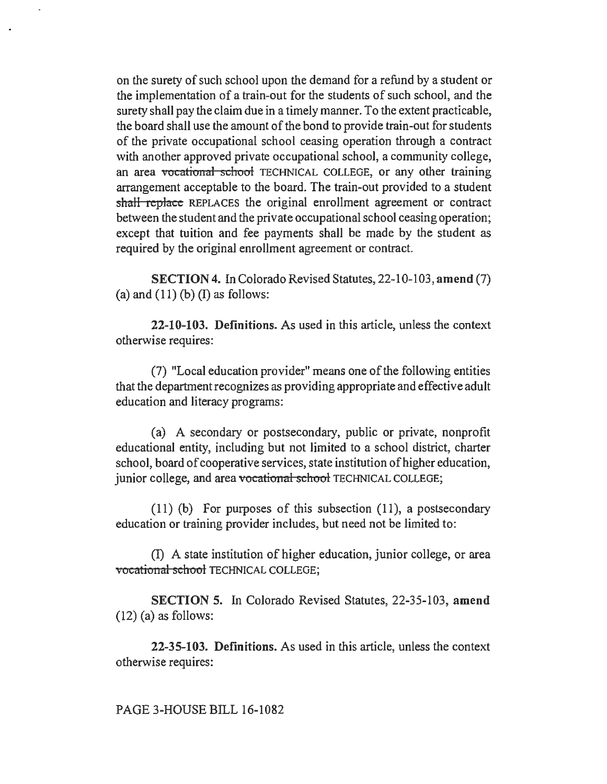on the surety of such school upon the demand for a refund by a student or the implementation of a train-out for the students of such school, and the surety shall pay the claim due in a timely manner. To the extent practicable, the board shall use the amount of the bond to provide train-out for students of the private occupational school ceasing operation through a contract with another approved private occupational school, a community college, an area vocational school TECHNICAL COLLEGE, or any other training arrangement acceptable to the board. The train-out provided to a student shall replace REPLACES the original enrollment agreement or contract between the student and the private occupational school ceasing operation; except that tuition and fee payments shall be made by the student as required by the original enrollment agreement or contract.

SECTION 4. In Colorado Revised Statutes, 22-10-103, amend (7) (a) and  $(11)$  (b) (I) as follows:

22-10-103. Definitions. As used in this article, unless the context otherwise requires:

(7) "Local education provider" means one of the following entities that the department recognizes as providing appropriate and effective adult education and literacy programs:

(a) A secondary or postsecondary, public or private, nonprofit educational entity, including but not limited to a school district, charter school, board of cooperative services, state institution of higher education, junior college, and area vocational school TECHNICAL COLLEGE;

(11) (b) For purposes of this subsection (11), a postsecondary education or training provider includes, but need not be limited to:

(I) A state institution of higher education, junior college, or area vocational school TECHNICAL COLLEGE:

SECTION 5. In Colorado Revised Statutes, 22-35-103, amend  $(12)$  (a) as follows:

22-35-103. Definitions. As used in this article, unless the context otherwise requires:

## PAGE 3-HOUSE BILL 16-1082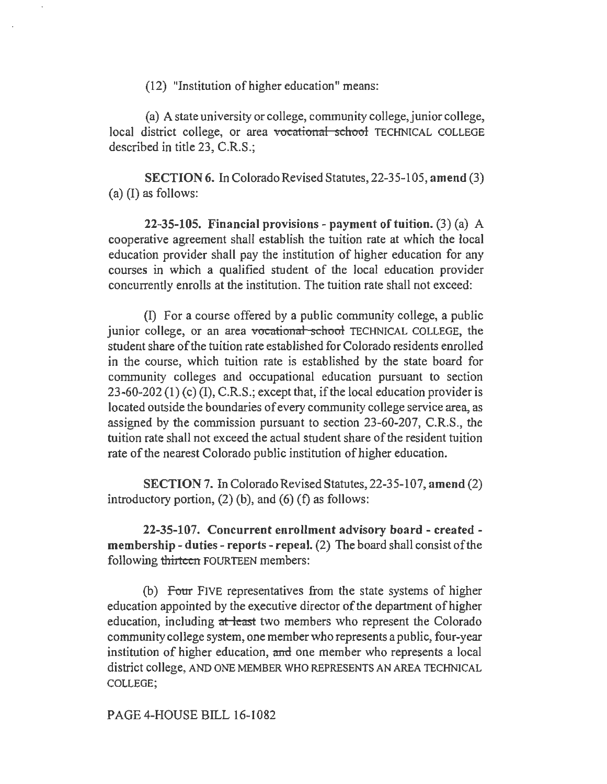(12) "Institution of higher education" means:

(a) A state university or college, community college, junior college, local district college, or area vocational school TECHNICAL COLLEGE described in title 23, C.R.S.;

SECTION 6. In Colorado Revised Statutes, 22-35-105, amend (3) (a) (I) as follows:

22-35-105. Financial provisions - payment of tuition. (3) (a) A cooperative agreement shall establish the tuition rate at which the local education provider shall pay the institution of higher education for any courses in which a qualified student of the local education provider concurrently enrolls at the institution. The tuition rate shall not exceed:

(I) For a course offered by a public community college, a public junior college, or an area vocational school TECHNICAL COLLEGE, the student share of the tuition rate established for Colorado residents enrolled in the course, which tuition rate is established by the state board for community colleges and occupational education pursuant to section 23-60-202 (1) (c) (I), C.R.S.; except that, if the local education provider is located outside the boundaries of every community college service area, as assigned by the commission pursuant to section 23-60-207, C.R.S., the tuition rate shall not exceed the actual student share of the resident tuition rate of the nearest Colorado public institution of higher education.

SECTION 7. In Colorado Revised Statutes, 22-35-107, amend (2) introductory portion,  $(2)$  (b), and  $(6)$  (f) as follows:

22-35-107. Concurrent enrollment advisory board - created membership -duties- reports - repeal. (2) The board shall consist of the following thirteen FOURTEEN members:

(b) Four FIVE representatives from the state systems of higher education appointed by the executive director of the department of higher education, including at least two members who represent the Colorado community college system, one member who represents a public, four-year institution of higher education, and one member who represents a local district college, AND ONE MEMBER WHO REPRESENTS AN AREA TECHNICAL COLLEGE;

PAGE 4-HOUSE BILL 16-1082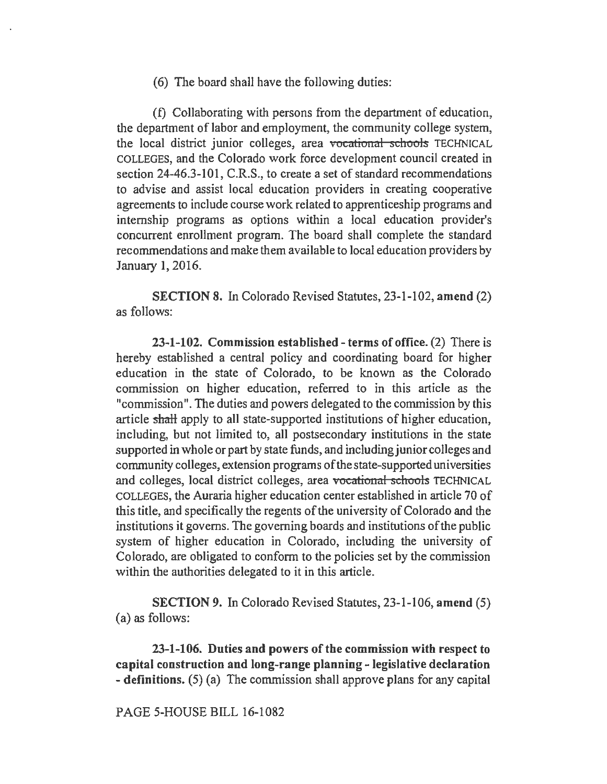(6) The board shall have the following duties:

(f) Collaborating with persons from the department of education, the department of labor and employment, the community college system, the local district junior colleges, area vocational schools TECHNICAL COLLEGES, and the Colorado work force development council created in section 24-46.3-101, C.R.S., to create a set of standard recommendations to advise and assist local education providers in creating cooperative agreements to include course work related to apprenticeship programs and internship programs as options within a local education provider's concurrent enrollment program. The board shall complete the standard recommendations and make them available to local education providers by January 1, 2016.

SECTION 8. In Colorado Revised Statutes, 23-1-102, amend (2) as follows:

23-1-102. Commission established -terms of office. (2) There is hereby established a central policy and coordinating board for higher education in the state of Colorado, to be known as the Colorado commission on higher education, referred to in this article as the "commission". The duties and powers delegated to the commission by this article shaH apply to all state-supported institutions of higher education, including, but not limited to, all postsecondary institutions in the state supported in whole or part by state funds, and including junior colleges and community colleges, extension programs of the state-supported universities and colleges, local district colleges, area vocational schools TECHNICAL COLLEGES, the Auraria higher education center established in article 70 of this title, and specifically the regents of the university of Colorado and the institutions it governs. The governing boards and institutions of the public system of higher education in Colorado, including the university of Colorado, are obligated to conform to the policies set by the commission within the authorities delegated to it in this article.

SECTION 9. In Colorado Revised Statutes, 23-1-106, amend (5) (a) as follows:

23-1-106. Duties and powers of the commission with respect to capital construction and long-range planning - legislative declaration - definitions. (5) (a) The commission shall approve plans for any capital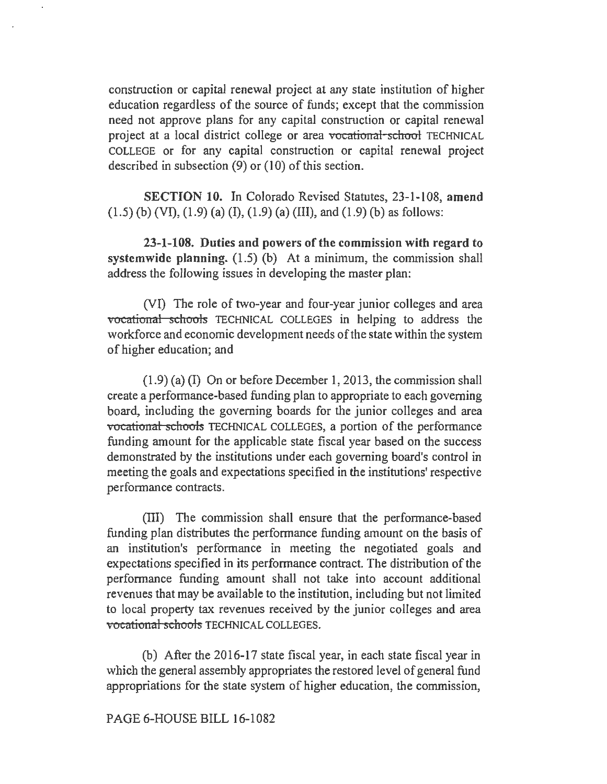construction or capital renewal project at any state institution of higher education regardless of the source of funds; except that the commission need not approve plans for any capital construction or capital renewal project at a local district college or area vocational school TECHNICAL COLLEGE or for any capital construction or capital renewal project described in subsection  $(9)$  or  $(10)$  of this section.

SECTION 10. In Colorado Revised Statutes, 23-1-108, amend  $(1.5)$  (b) (VI),  $(1.9)$  (a) (I),  $(1.9)$  (a) (III), and  $(1.9)$  (b) as follows:

23-1-108. Duties and powers of the commission with regard to systemwide planning. (1.5) (b) At a minimum, the commission shall address the following issues in developing the master plan:

(VI) The role of two-year and four-year junior colleges and area vocational schools TECHNICAL COLLEGES in helping to address the workforce and economic development needs of the state within the system of higher education; and

(1.9) (a) (I) On or before December l, 2013, the commission shall create a perfonnance-based funding plan to appropriate to each governing board, including the governing boards for the junior colleges and area vocational schools TECHNICAL COLLEGES, a portion of the performance funding amount for the applicable state fiscal year based on the success demonstrated by the institutions under each governing board's control in meeting the goals and expectations specified in the institutions' respective performance contracts.

(III) The commission shall ensure that the performance-based funding plan distributes the performance funding amount on the basis of an institution's performance in meeting the negotiated goals and expectations specified in its performance contract. The distribution of the performance funding amount shall not take into account additional revenues that may be available to the institution, including but not limited to local property tax revenues received by the junior colleges and area vocational schools TECHNICAL COLLEGES.

(b) After the 2016-17 state fiscal year, in each state fiscal year in which the general assembly appropriates the restored level of general fund appropriations for the state system of higher education, the commission,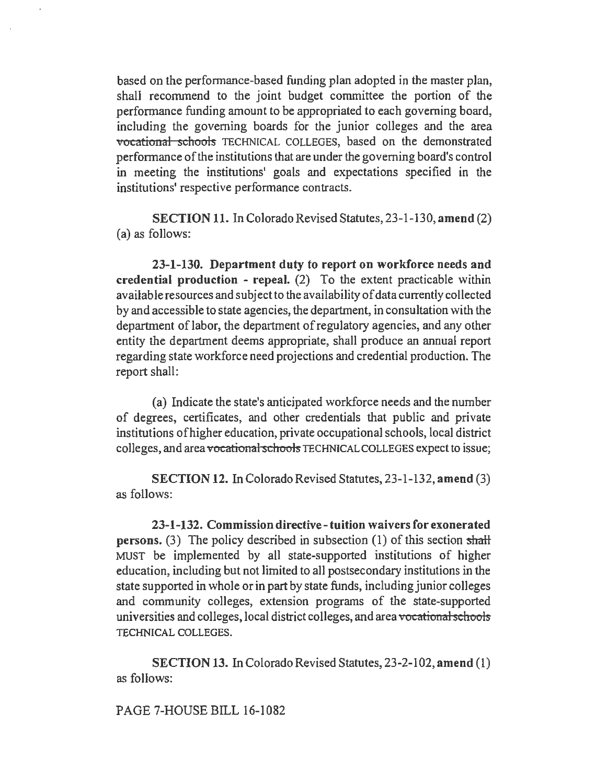based on the performance-based funding plan adopted in the master plan, shall recommend to the joint budget committee the portion of the performance funding amount to be appropriated to each governing board, including the governing boards for the junior colleges and the area vocational schools TECHNICAL COLLEGES, based on the demonstrated performance of the institutions that are under the governing board's control in meeting the institutions' goals and expectations specified in the institutions' respective performance contracts.

SECTION 11. In Colorado Revised Statutes, 23-1-130, amend (2) (a) as follows:

23-1-130. Department duty to report on workforce needs and credential production - repeal. (2) To the extent practicable within available resources and subject to the availability of data currently collected by and accessible to state agencies, the department, in consultation with the department of labor, the department of regulatory agencies, and any other entity the department deems appropriate, shall produce an annual report regarding state workforce need projections and credential production. The report shall:

(a) Indicate the state's anticipated workforce needs and the number of degrees, certificates, and other credentials that public and private institutions of higher education, private occupational schools, local district colleges, and area vocational schools TECHNICAL COLLEGES expect to issue;

SECTION 12. In Colorado Revised Statutes, 23-1-132, amend (3) as follows:

23-1-132. Commission directive-tuition waivers for exonerated persons. (3) The policy described in subsection (1) of this section shall MUST be implemented by all state-supported institutions of higher education, including but not limited to all postsecondary institutions in the state supported in whole or in part by state funds, including junior colleges and community colleges, extension programs of the state-supported universities and colleges, local district colleges, and area vocational schools TECHNICAL COLLEGES.

SECTION 13. In Colorado Revised Statutes, 23-2-102, amend (I) as follows:

PAGE 7-HOUSE BILL 16-1082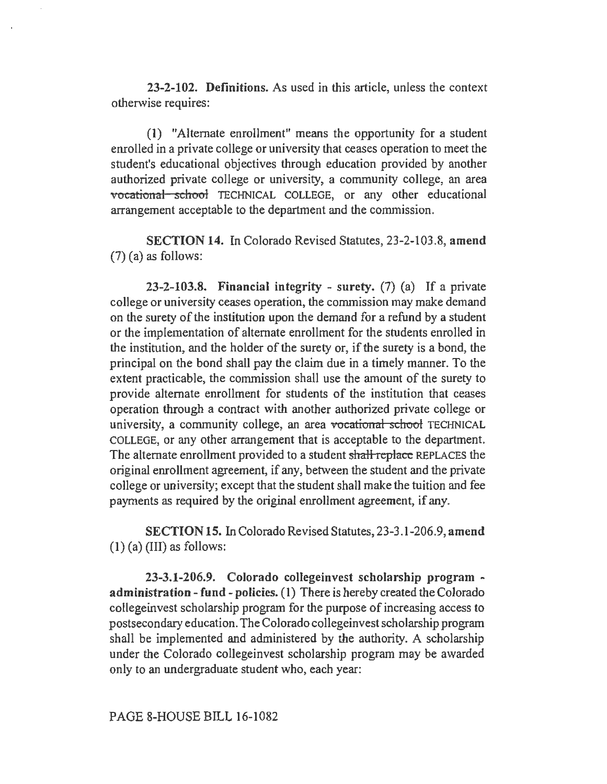23-2-102. Definitions. As used in this article, unless the context otherwise requires:

(1) "Alternate enrollment" means the opportunity for a student enrolled in a private college or university that ceases operation to meet the student's educational objectives through education provided by another authorized private college or university, a community college, an area vocational school TECHNICAL COLLEGE, or any other educational arrangement acceptable to the department and the commission.

SECTION 14. In Colorado Revised Statutes, 23-2-103.8, amend  $(7)$  (a) as follows:

23-2-103.8. Financial integrity - surety. (7) (a) If a private college or university ceases operation, the commission may make demand on the surety of the institution upon the demand for a refund by a student or the implementation of alternate enrollment for the students enrolled in the institution, and the holder of the surety or, if the surety is a bond, the principal on the bond shall pay the claim due in a timely manner. To the extent practicable, the commission shall use the amount of the surety to provide alternate enrollment for students of the institution that ceases operation through a contract with another authorized private college or university, a community college, an area vocational school TECHNICAL COLLEGE, or any other arrangement that is acceptable to the department. The alternate enrollment provided to a student shall replace REPLACES the original enrollment agreement, if any, between the student and the private college or university; except that the student shall make the tuition and fee payments as required by the original enrollment agreement, if any.

SECTION 15. In Colorado Revised Statutes, 23-3 .1-206.9, amend  $(1)$  (a) (III) as follows:

23-3.1-206.9. Colorado collegeinvest scholarship program administration -fund- policies. (1) There is hereby created the Colorado collegeinvest scholarship program for the purpose of increasing access to postsecondary education. The Colorado collegeinvest scholarship program shall be implemented and administered by the authority. A scholarship under the Colorado collegeinvest scholarship program may be awarded only to an undergraduate student who, each year:

PAGE 8-HOUSE BILL 16-1082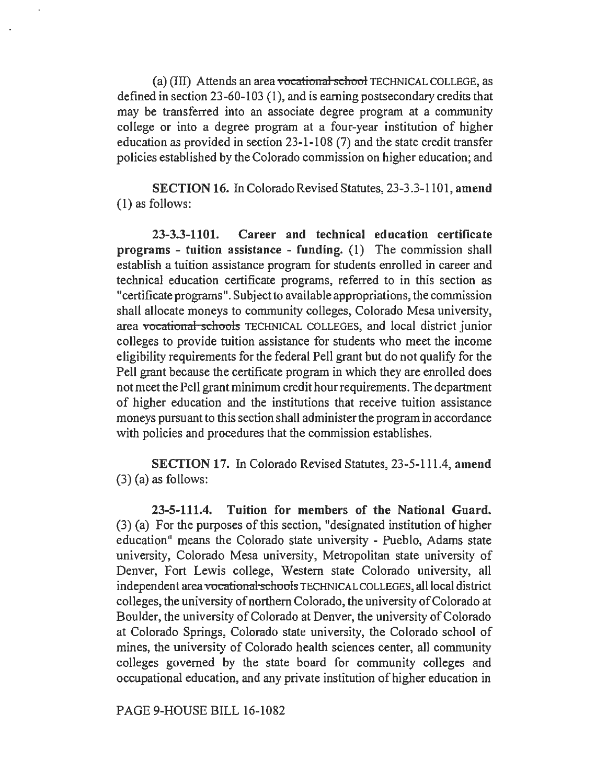(a) (III) Attends an area vocational school TECHNICAL COLLEGE, as defined in section 23-60-103 (1), and is earning postsecondary credits that may be transferred into an associate degree program at a community college or into a degree program at a four-year institution of higher education as provided in section 23-1-108 (7) and the state credit transfer policies established by the Colorado commission on higher education; and

SECTION 16. In Colorado Revised Statutes, 23-3.3-1101, amend {l) as follows:

23-3.3-1101. Career and technical education certificate programs - tuition assistance - funding. {l) The commission shall establish a tuition assistance program for students enrolled in career and technical education certificate programs, referred to in this section as "certificate programs". Subject to available appropriations, the commission shall allocate moneys to community colleges, Colorado Mesa university, area vocational schools TECHNICAL COLLEGES, and local district junior colleges to provide tuition assistance for students who meet the income eligibility requirements for the federal Pell grant but do not qualify for the Pell grant because the certificate program in which they are enrolled does not meet the Pell grant minimum credit hour requirements. The department of higher education and the institutions that receive tuition assistance moneys pursuant to this section shall administer the program in accordance with policies and procedures that the commission establishes.

SECTION 17. In Colorado Revised Statutes, 23-5-111.4, amend (3) (a) as follows:

23-5-111.4. Tuition for members of the National Guard. (3) (a) For the purposes of this section, "designated institution of higher education" means the Colorado state university - Pueblo, Adams state university, Colorado Mesa university, Metropolitan state university of Denver, Fort Lewis college, Western state Colorado university, all independent area vocational schools TECHNICAL COLLEGES, all local district colleges, the university of northern Colorado, the university of Colorado at Boulder, the university of Colorado at Denver, the university of Colorado at Colorado Springs, Colorado state university, the Colorado school of mines, the university of Colorado health sciences center, all community colleges governed by the state board for community colleges and occupational education, and any private institution of higher education in

PAGE 9-HOUSE BILL 16-1082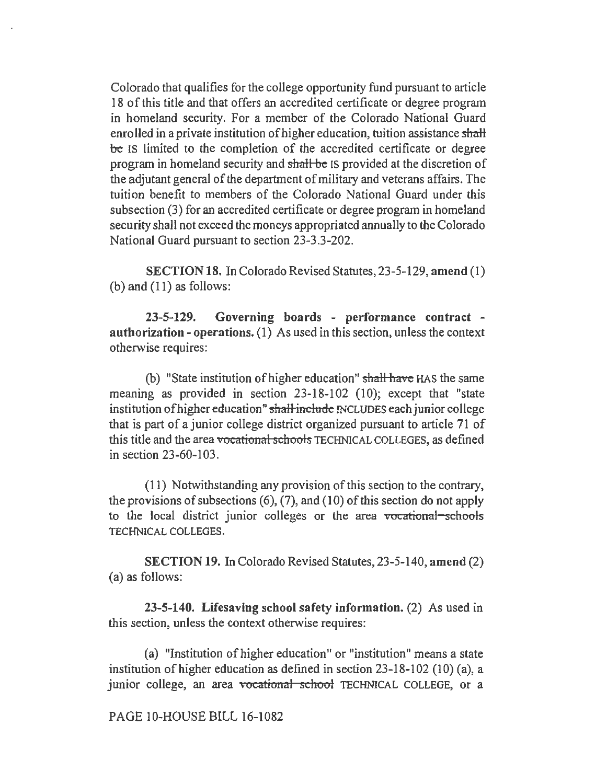Colorado that qualifies for the college opportunity fund pursuant to article 18 of this title and that offers an accredited certificate or degree program in homeland security. For a member of the Colorado National Guard enrolled in a private institution of higher education, tuition assistance shall be IS limited to the completion of the accredited certificate or degree program in homeland security and shall be IS provided at the discretion of the adjutant general of the department of military and veterans affairs. The tuition benefit to members of the Colorado National Guard under this subsection (3) for an accredited certificate or degree program in homeland security shall not exceed the moneys appropriated annually to the Colorado National Guard pursuant to section 23-3.3-202.

SECTION 18. In Colorado Revised Statutes, 23-5-129, amend (1) (b) and (11) as follows:

23-5-129. Governing boards - performance contract authorization - operations. (I) As used in this section, unless the context otherwise requires:

(b) "State institution of higher education" shall have HAS the same meaning as provided in section 23-18-102 (IO); except that "state institution of higher education" shall include INCLUDES each junior college that is part of a junior college district organized pursuant to article 71 of this title and the area vocational schools TECHNICAL COLLEGES, as defined in section 23-60-103.

(11) Notwithstanding any provision of this section to the contrary, the provisions of subsections  $(6)$ ,  $(7)$ , and  $(10)$  of this section do not apply to the local district junior colleges or the area vocational schools TECHNICAL COLLEGES.

SECTION 19. In Colorado Revised Statutes, 23-5-140, amend (2) (a) as follows:

23-5-140. Lifesaving school safety information. (2) As used in this section, unless the context otherwise requires:

(a) "Institution of higher education" or "institution" means a state institution of higher education as defined in section 23-18-102 (10) (a), a junior college, an area vocational school TECHNICAL COLLEGE, or a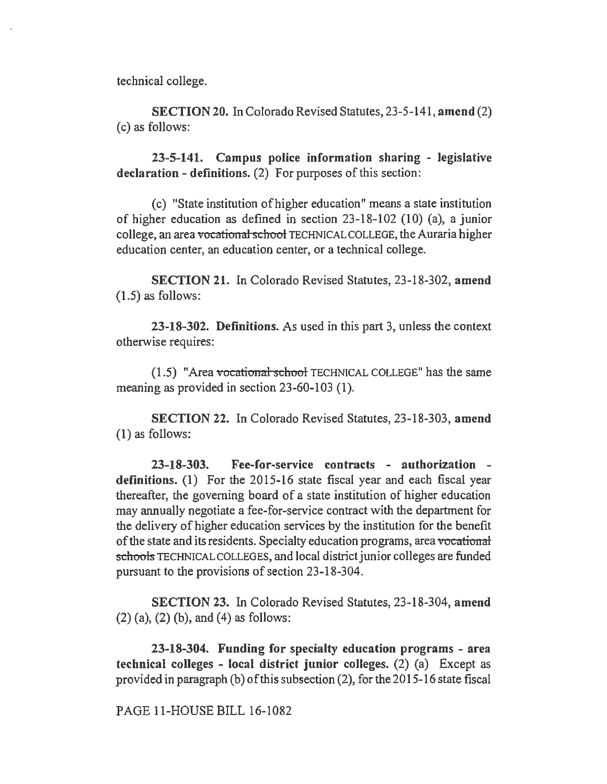technical college.

SECTION 20. In Colorado Revised Statutes, 23-5-141, amend (2) (c) as follows:

23-5-141. Campus police information sharing - legislative declaration - definitions. (2) For purposes of this section:

(c) "State institution of higher education" means a state institution of higher education as defined in section 23-18-102 (10) (a), a junior college, an area vocational school TECHNICAL COLLEGE, the Auraria higher education center, an education center, or a technical college.

SECTION 21. In Colorado Revised Statutes, 23-18-302, amend (1.5) as follows:

23-18-302. Definitions. As used in this part 3, unless the context otherwise requires:

 $(1.5)$  "Area vocational school TECHNICAL COLLEGE" has the same meaning as provided in section 23-60-103 (1).

SECTION 22. In Colorado Revised Statutes, 23-18-303, amend (1) as follows:

23-18-303. Fee-for-service contracts - authorization definitions. (1) For the 2015-16 state fiscal year and each fiscal year thereafter, the governing board of a state institution of higher education may annually negotiate a fee-for-service contract with the department for the delivery of higher education services by the institution for the benefit of the state and its residents. Specialty education programs, area vocational schools TECHNICAL COLLEGES, and local district junior colleges are funded pursuant to the provisions of section 23-18-304.

SECTION 23. In Colorado Revised Statutes, 23-18-304, amend (2) (a), (2) (b), and (4) as follows:

23-18-304. Funding for specialty education programs - area technical colleges - local district junior colleges. (2) (a) Except as provided in paragraph (b) of this subsection (2), for the 2015-16 state fiscal

PAGE 11-HOUSE BILL 16-1082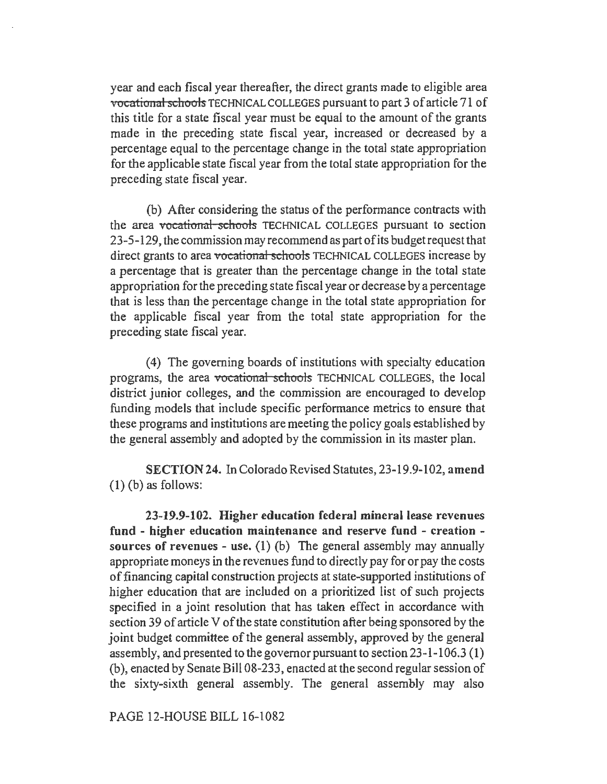year and each fiscal year thereafter, the direct grants made to eligible area vocational schools TECHNICAL COLLEGES pursuant to part 3 of article 71 of this title for a state fiscal year must be equal to the amount of the grants made in the preceding state fiscal year, increased or decreased by a percentage equal to the percentage change in the total state appropriation for the applicable state fiscal year from the total state appropriation for the preceding state fiscal year.

(b) After considering the status of the performance contracts with the area vocational schools TECHNICAL COLLEGES pursuant to section 23-5-129, the commission may recommend as part ofits budget request that direct grants to area vocational schools TECHNICAL COLLEGES increase by a percentage that is greater than the percentage change in the total state appropriation for the preceding state fiscal year or decrease by a percentage that is less than the percentage change in the total state appropriation for the applicable fiscal year from the total state appropriation for the preceding state fiscal year.

(4) The governing boards of institutions with specialty education programs, the area vocational schools TECHNICAL COLLEGES, the local district junior colleges, and the commission are encouraged to develop funding models that include specific performance metrics to ensure that these programs and institutions are meeting the policy goals established by the general assembly and adopted by the commission in its master plan.

SECTION 24. In Colorado Revised Statutes, 23-19 .9-102, amend  $(1)$  (b) as follows:

23-19.9-102. Higher education federal mineral lease revenues fund - higher education maintenance and reserve fund - creation sources of revenues - use. (1) (b) The general assembly may annually appropriate moneys in the revenues fund to directly pay for or pay the costs of financing capital construction projects at state-supported institutions of higher education that are included on a prioritized list of such projects specified in a joint resolution that has taken effect in accordance with section 39 of article V of the state constitution after being sponsored by the joint budget committee of the general assembly, approved by the general assembly, and presented to the governor pursuant to section 23-1-106.3 (I) (b ), enacted by Senate Bill 08-233, enacted at the second regular session of the sixty-sixth general assembly. The general assembly may also

PAGE 12-HOUSE BILL 16-1082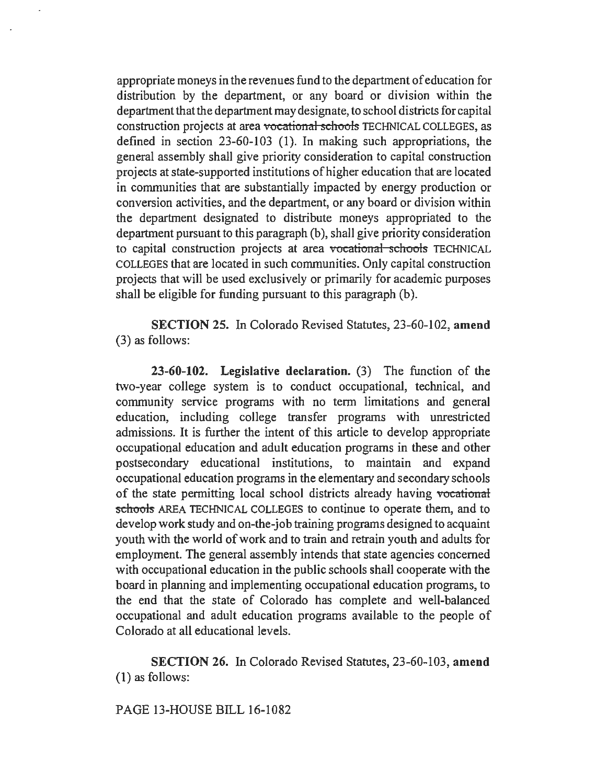appropriate moneys in the revenues fund to the department of education for distribution by the department, or any board or division within the department that the department may designate, to school districts for capital construction projects at area vocational schools TECHNICAL COLLEGES, as defined in section 23-60-103 (1). In making such appropriations, the general assembly shall give priority consideration to capital construction projects at state-supported institutions of higher education that are located in communities that are substantially impacted by energy production or conversion activities, and the department, or any board or division within the department designated to distribute moneys appropriated to the department pursuant to this paragraph (b), shall give priority consideration to capital construction projects at area vocational schools TECHNICAL COLLEGES that are located in such communities. Only capital construction projects that will be used exclusively or primarily for academic purposes shall be eligible for funding pursuant to this paragraph (b).

SECTION 25. In Colorado Revised Statutes, 23-60-102, amend (3) as follows:

23-60-102. Legislative declaration. (3) The function of the two-year college system is to conduct occupational, technical, and community service programs with no term limitations and general education, including college transfer programs with unrestricted admissions. It is further the intent of this article to develop appropriate occupational education and adult education programs in these and other postsecondary educational institutions, to maintain and expand occupational education programs in the elementary and secondary schools of the state permitting local school districts already having vocational schools AREA TECHNICAL COLLEGES to continue to operate them, and to develop work study and on-the-job training programs designed to acquaint youth with the world of work and to train and retrain youth and adults for employment. The general assembly intends that state agencies concerned with occupational education in the public schools shall cooperate with the board in planning and implementing occupational education programs, to the end that the state of Colorado has complete and well-balanced occupational and adult education programs available to the people of Colorado at all educational levels.

SECTION 26. In Colorado Revised Statutes, 23-60-103, amend (1) as follows:

PAGE 13-HOUSE BILL 16-1082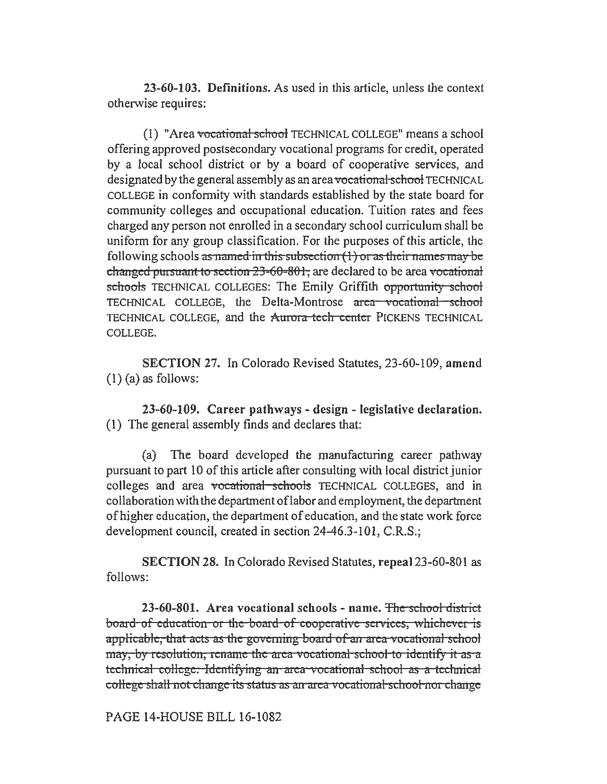23-60-103. Definitions. As used in this article, unless the context otherwise requires:

(1) "Area vocational school TECHNICAL COLLEGE" means a school offering approved postsecondary vocational programs for credit, operated by a local school district or by a board of cooperative services, and designated by the general assembly as an area vocational school TECHNICAL COLLEGE in conformity with standards established by the state board for community colleges and occupational education. Tuition rates and fees charged any person not enrolled in a secondary school curriculum shall be uniform for any group classification. For the purposes of this article, the following schools as named in this subsection  $(1)$  or as their names may be changed pursuant to section  $23-60-801$ , are declared to be area vocational schools TECHNICAL COLLEGES: The Emily Griffith opportunity school TECHNICAL COLLEGE, the Delta-Montrose area vocational school TECHNICAL COLLEGE, and the Aurora-tech center PICKENS TECHNICAL COLLEGE.

SECTION 27. In Colorado Revised Statutes, 23-60-109, amend  $(1)$  (a) as follows:

23-60-109. Career pathways - design - legislative declaration. (1) The general assembly finds and declares that:

(a) The board developed the manufacturing career pathway pursuant to part 10 of this article after consulting with local district junior colleges and area vocational schools TECHNICAL COLLEGES, and in collaboration with the department oflabor and employment, the department of higher education, the department of education, and the state work force development council, created in section 24-46.3-101, C.R.S.;

SECTION 28. In Colorado Revised Statutes, repeal 23-60-801 as follows:

23-60-801. Area vocational schools - name. The school district board of education or the board of cooperative services, whichever is applicable, that acts as the governing board of an area vocational school may, by resolution, rename the area vocational school to identify it as a technical college. Identifying an area vocational school as a technical college shall not change its status as an area vocational school nor change

PAGE 14-HOUSE BILL 16-1082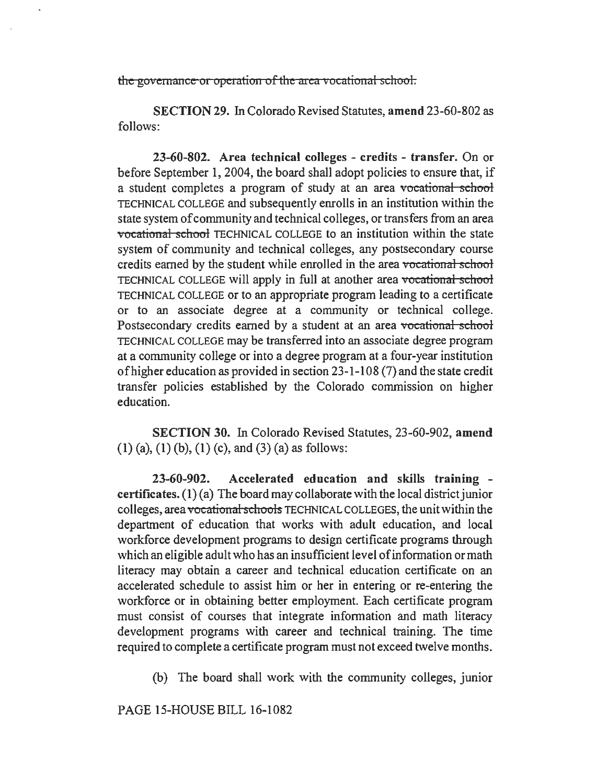the governance or operation of the area vocational school.

SECTION 29. In Colorado Revised Statutes, amend 23-60-802 as follows:

23-60-802. Area technical colleges - credits - transfer. On or before September 1, 2004, the board shall adopt policies to ensure that, if a student completes a program of study at an area vocational school TECHNICAL COLLEGE and subsequently enrolls in an institution within the state system of community and technical colleges, or transfers from an area vocational school TECHNICAL COLLEGE to an institution within the state system of community and technical colleges, any postsecondary course credits earned by the student while enrolled in the area vocational school TECHNICAL COLLEGE will apply in full at another area vocational school TECHNICAL COLLEGE or to an appropriate program leading to a certificate or to an associate degree at a community or technical college. Postsecondary credits earned by a student at an area vocational school TECHNICAL COLLEGE may be transferred into an associate degree program at a community college or into a degree program at a four-year institution of higher education as provided in section 23-1-108 (7) and the state credit transfer policies established by the Colorado commission on higher education.

SECTION 30. In Colorado Revised Statutes, 23-60-902, amend  $(1)$  (a),  $(1)$  (b),  $(1)$  (c), and  $(3)$  (a) as follows:

23-60-902. Accelerated education and skills training certificates. (1) (a) The board may collaborate with the local district junior colleges, area vocational schools TECHNICAL COLLEGES, the unit within the department of education that works with adult education, and local workforce development programs to design certificate programs through which an eligible adult who has an insufficient level of information or math literacy may obtain a career and technical education certificate on an accelerated schedule to assist him or her in entering or re-entering the workforce or in obtaining better employment. Each certificate program must consist of courses that integrate information and math literacy development programs with career and technical training. The time required to complete a certificate program must not exceed twelve months.

(b) The board shall work with the community colleges, junior

PAGE 15-HOUSE BILL 16-1082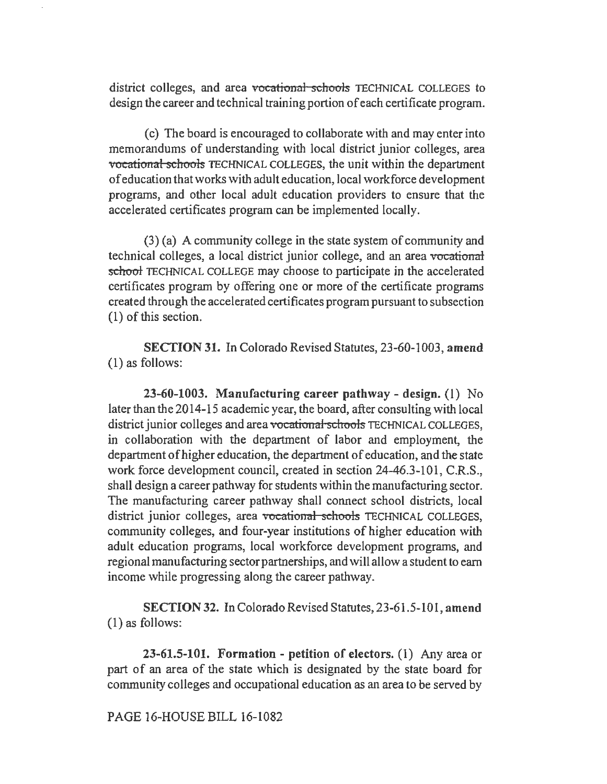district colleges, and area vocational schools TECHNICAL COLLEGES to design the career and technical training portion of each certificate program.

(c) The board is encouraged to collaborate with and may enter into memorandums of understanding with local district junior colleges, area vocational schools TECHNICAL COLLEGES, the unit within the department of education that works with adult education, local workforce development programs, and other local adult education providers to ensure that the accelerated certificates program can be implemented locally.

(3) (a) A community college in the state system of community and technical colleges, a local district junior college, and an area vocational school TECHNICAL COLLEGE may choose to participate in the accelerated certificates program by offering one or more of the certificate programs created through the accelerated certificates program pursuant to subsection (1) of this section.

SECTION 31. In Colorado Revised Statutes, 23-60-1003, amend (1) as follows:

23-60-1003. Manufacturing career pathway - design. (1) No later than the 2014-15 academic year, the board, after consulting with local district junior colleges and area vocational schools TECHNICAL COLLEGES. in collaboration with the department of labor and employment, the department of higher education, the department of education, and the state work force development council, created in section 24-46.3-101, C.R.S., shall design a career pathway for students within the manufacturing sector. The manufacturing career pathway shall connect school districts, local district junior colleges, area vocational schools TECHNICAL COLLEGES, community colleges, and four-year institutions of higher education with adult education programs, local workforce development programs, and regional manufacturing sector partnerships, and will allow a student to earn income while progressing along the career pathway.

SECTION 32. In Colorado Revised Statutes, 23-61.5-10 I, amend (1) as follows:

23-61.5-101. Formation - petition of electors. (1) Any area or part of an area of the state which is designated by the state board for community colleges and occupational education as an area to be served by

PAGE 16-HOUSE BILL 16-1082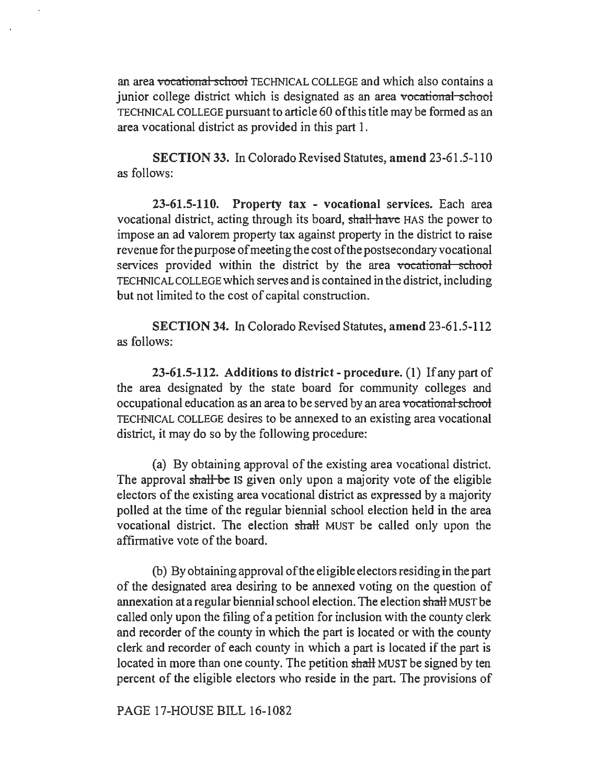an area vocational school TECHNICAL COLLEGE and which also contains a junior college district which is designated as an area vocational school TECHNICAL COLLEGE pursuant to article 60 of this title may be formed as an area vocational district as provided in this part I.

SECTION 33. In Colorado Revised Statutes, amend 23-61.5-110 as follows:

23-61.5-110. Property tax - vocational services. Each area vocational district, acting through its board, shall have HAS the power to impose an ad valorem property tax against property in the district to raise revenue for the purpose of meeting the cost of the postsecondary vocational services provided within the district by the area vocational school TECHNICAL COLLEGE which serves and is contained in the district, including but not limited to the cost of capital construction.

SECTION 34. In Colorado Revised Statutes, amend 23-61.5-112 as follows:

23-61.5-112. Additions to district-procedure. (1) If any part of the area designated by the state board for community colleges and occupational education as an area to be served by an area vocational school TECHNICAL COLLEGE desires to be annexed to an existing area vocational district, it may do so by the following procedure:

(a) By obtaining approval of the existing area vocational district. The approval shall be IS given only upon a majority vote of the eligible electors of the existing area vocational district as expressed by a majority polled at the time of the regular biennial school election held in the area vocational district. The election shalt MUST be called only upon the affirmative vote of the board.

(b) By obtaining approval of the eligible electors residing in the part of the designated area desiring to be annexed voting on the question of annexation at a regular biennial school election. The election shalt MUST be called only upon the filing of a petition for inclusion with the county clerk and recorder of the county in which the part is located or with the county clerk and recorder of each county in which a part is located if the part is located in more than one county. The petition shall MUST be signed by ten percent of the eligible electors who reside in the part. The provisions of

PAGE 17-HOUSE BILL 16-1082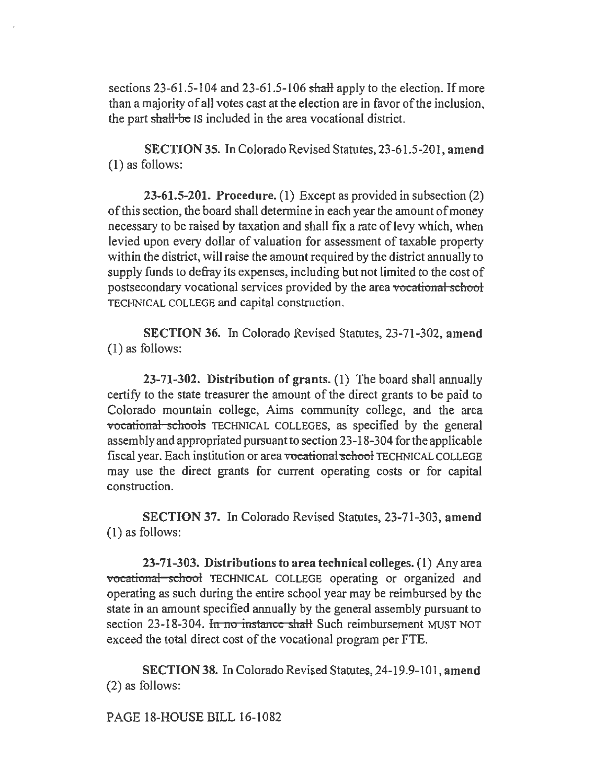sections 23-61.5-104 and 23-61.5-106 shall apply to the election. If more than a majority of all votes cast at the election are in favor of the inclusion, the part shall be IS included in the area vocational district.

SECTION 35. In Colorado Revised Statutes, 23-61.5-201, amend (1) as follows:

23-61.5-201. Procedure. (1) Except as provided in subsection (2) of this section, the board shall determine in each year the amount of money necessary to be raised by taxation and shall fix a rate of levy which, when levied upon every dollar of valuation for assessment of taxable property within the district, will raise the amount required by the district annually to supply funds to defray its expenses, including but not limited to the cost of postsecondary vocational services provided by the area vocational school TECHNICAL COLLEGE and capital construction.

SECTION 36. In Colorado Revised Statutes, 23-71-302, amend (I) as follows:

23-71-302. Distribution of grants. (I) The board shall annuaIIy certify to the state treasurer the amount of the direct grants to be paid to Colorado mountain college, Aims community college, and the area vocational schools TECHNICAL COLLEGES, as specified by the general assembly and appropriated pursuant to section 23-18-304 for the applicable fiscal year. Each institution or area vocational school TECHNICAL COLLEGE may use the direct grants for current operating costs or for capital construction.

SECTION 37. In Colorado Revised Statutes, 23-71-303, amend (1) as follows:

23-71-303. Distributions to area technical colleges. (1) Any area vocational school TECHNICAL COLLEGE operating or organized and operating as such during the entire school year may be reimbursed by the state in an amount specified annually by the general assembly pursuant to section 23-18-304. In no instance shall Such reimbursement MUST NOT exceed the total direct cost of the vocational program per FTE.

SECTION 38. In Colorado Revised Statutes, 24-19.9-101, amend (2) as follows:

PAGE 18-HOUSE BILL 16-1082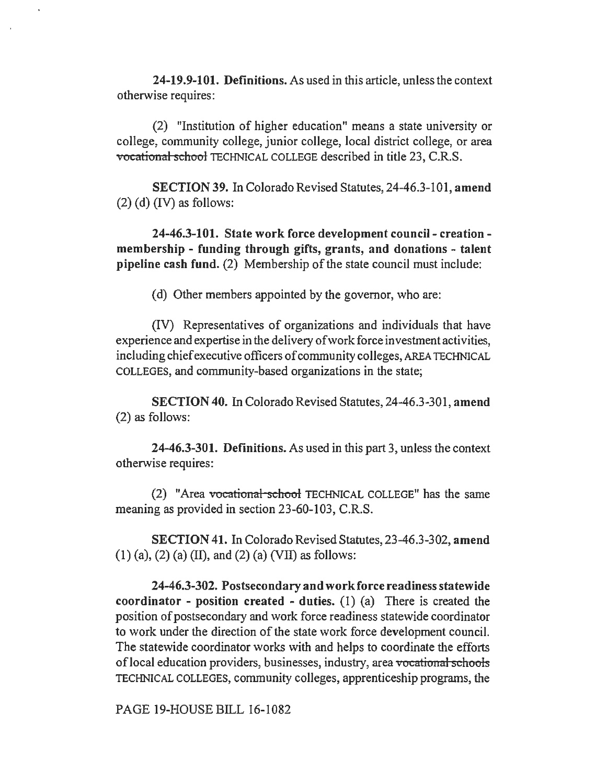24-19.9-101. Definitions. As used in this article, unless the context otherwise requires:

(2) "Institution of higher education" means a state university or college, community college, junior college, local district college, or area vocational school TECHNICAL COLLEGE described in title 23, C.R.S.

SECTION 39. In Colorado Revised Statutes, 24-46.3-101, amend  $(2)$  (d) (IV) as follows:

24-46.3-101. State work force development council- creation membership - funding through gifts, grants, and donations - talent pipeline cash fund. (2) Membership of the state council must include:

(d) Other members appointed by the governor, who are:

(IV) Representatives of organizations and individuals that have experience and expertise in the delivery of work force investment activities, including chief executive officers of community colleges, AREA TECHNICAL COLLEGES, and community-based organizations in the state;

SECTION 40. In Colorado Revised Statutes, 24-46.3-301, amend (2) as follows:

24-46.3-301. Definitions. As used in this part 3, unless the context otherwise requires:

(2) "Area vocational school TECHNICAL COLLEGE" has the same meaning as provided in section 23-60-103, C.R.S.

SECTION 41. In Colorado Revised Statutes, 23-46.3-302, amend  $(1)$  (a), (2) (a) (II), and (2) (a) (VII) as follows:

24-46.3-302. Postsecondary and workforce readiness statewide coordinator - position created - duties.  $(1)$   $(a)$  There is created the position of postsecondary and work force readiness statewide coordinator to work under the direction of the state work force development council. The statewide coordinator works with and helps to coordinate the efforts of local education providers, businesses, industry, area vocational schools TECHNICAL COLLEGES, community colleges, apprenticeship programs, the

PAGE 19-HOUSE BILL 16-1082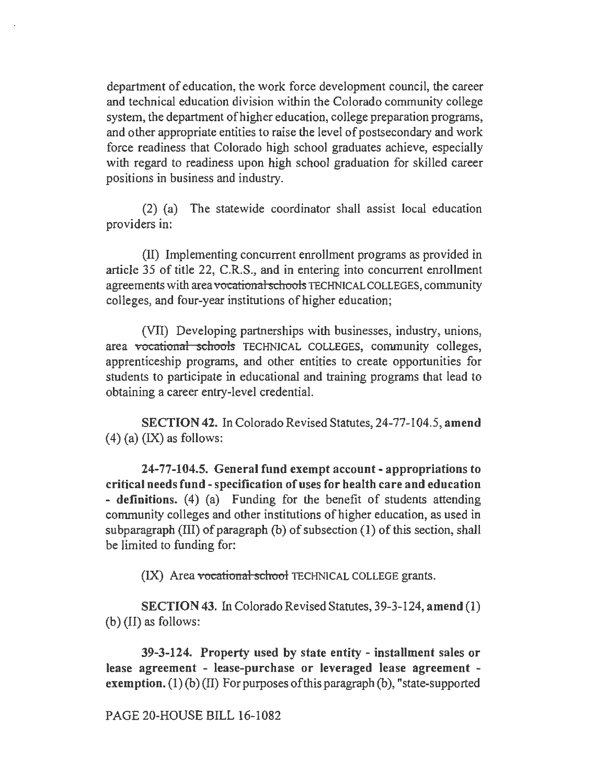department of education, the work force development council, the career and technical education division within the Colorado community college system, the department of higher education, college preparation programs, and other appropriate entities to raise the level of postsecondary and work force readiness that Colorado high school graduates achieve, especially with regard to readiness upon high school graduation for skilled career positions in business and industry.

(2) (a) The statewide coordinator shall assist local education providers in:

(II) Implementing concurrent enrollment programs as provided in article 35 of title 22, C.R.S., and in entering into concurrent enrollment agreements with area vocational schools TECHNICAL COLLEGES, community colleges, and four-year institutions of higher education;

(VII) Developing partnerships with businesses, industry, unions, area vocational schools TECHNICAL COLLEGES, community colleges, apprenticeship programs, and other entities to create opportunities for students to participate in educational and training programs that lead to obtaining a career entry-level credential.

SECTION 42. In Colorado Revised Statutes, 24-77-104.5, amend  $(4)$  (a)  $(IX)$  as follows:

24-77-104.5. General fund exempt account- appropriations to critical needs fund-specification of uses for health care and education - definitions. (4) (a) Funding for the benefit of students attending community colleges and other institutions of higher education, as used in subparagraph (III) of paragraph (b) of subsection (1) of this section, shall be limited to funding for:

(IX) Area vocational school TECHNICAL COLLEGE grants.

SECTION 43. In Colorado Revised Statutes, 39-3-124, amend (1) (b) (II) as follows:

39-3-124. Property used by state entity - installment sales or lease agreement - lease-purchase or leveraged lease agreement exemption. (1) (b) (II) For purposes of this paragraph (b), "state-supported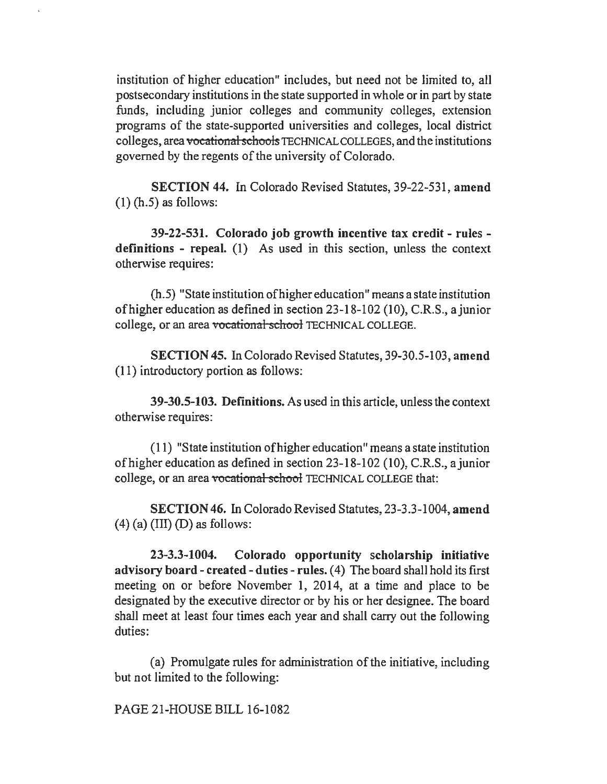institution of higher education" includes, but need not be limited to, all postsecondary institutions in the state supported in whole or in part by state funds, including junior colleges and community colleges, extension programs of the state-supported universities and colleges, local district colleges, area vocational schools TECHNICAL COLLEGES, and the institutions governed by the regents of the university of Colorado.

SECTION 44. In Colorado Revised Statutes, 39-22-531, amend  $(1)$  (h.5) as follows:

39-22-531. Colorado job growth incentive tax credit - rules definitions - repeal. (1) As used in this section, unless the context otherwise requires:

(h.5) "State institution ofhigher education" means a state institution of higher education as defined in section 23-18-102 (10), C.R.S., a junior college, or an area vocational school TECHNICAL COLLEGE.

SECTION 45. In Colorado Revised Statutes, 39-30.5-103, amend (11) introductory portion as follows:

39-30.5-103. Definitions. As used in this article, unless the context otherwise requires:

(11) "State institution of higher education" means a state institution of higher education as defined in section 23-18-102 (10), C.R.S., a junior college, or an area vocational school TECHNICAL COLLEGE that:

SECTION 46. In Colorado Revised Statutes, 23-3.3-1004, amend  $(4)$  (a) (III) (D) as follows:

23-3.3-1004. Colorado opportunity scholarship initiative advisory board - created - duties - rules. ( 4) The board shall hold its first meeting on or before November 1, 2014, at a time and place to be designated by the executive director or by his or her designee. The board shall meet at least four times each year and shall carry out the following duties:

(a) Promulgate rules for administration of the initiative, including but not limited to the following:

PAGE 21-HOUSE BILL 16-1082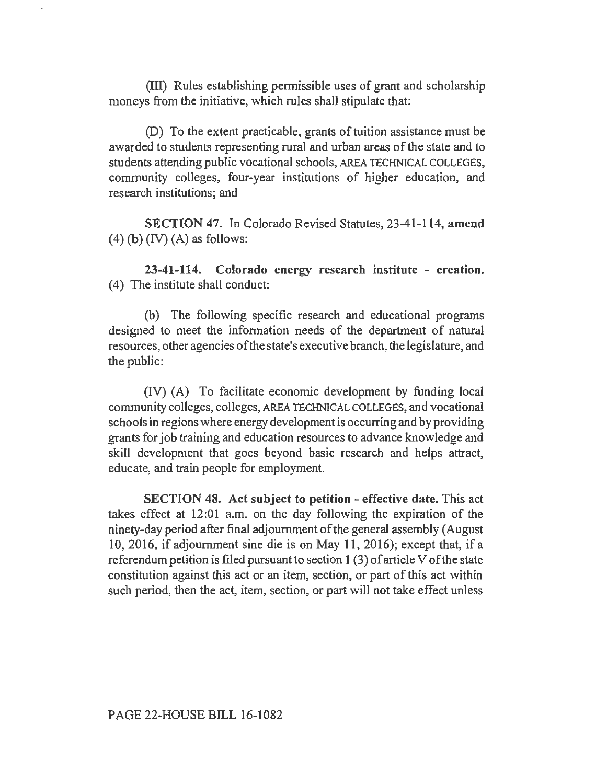(III) Rules establishing permissible uses of grant and scholarship moneys from the initiative, which rules shall stipulate that:

(D) To the extent practicable, grants of tuition assistance must be awarded to students representing rural and urban areas of the state and to students attending public vocational schools, AREA TECHNICAL COLLEGES, community colleges, four-year institutions of higher education, and research institutions; and

SECTION 47. In Colorado Revised Statutes, 23-41-114, amend  $(4)$  (b)  $(IV)$   $(A)$  as follows:

23-41-114. Colorado energy research institute - creation. (4) The institute shall conduct:

(b) The following specific research and educational programs designed to meet the information needs of the department of natural resources, other agencies of the state's executive branch, the legislature, and the public:

(IV) (A) To facilitate economic development by funding local community colleges, colleges, AREA TECHNICAL COLLEGES, and vocational schools in regions where energy development is occurring and by providing grants for job training and education resources to advance knowledge and skill development that goes beyond basic research and helps attract, educate, and train people for employment.

SECTION 48. Act subject to petition - effective date. This act takes effect at 12:01 a.m. on the day following the expiration of the ninety-day period after final adjournment of the general assembly (August 10, 2016, if adjournment sine die is on May 11, 2016); except that, if a referendum petition is filed pursuant to section 1 (3) of article V of the state constitution against this act or an item, section, or part of this act within such period, then the act, item, section, or part will not take effect unless